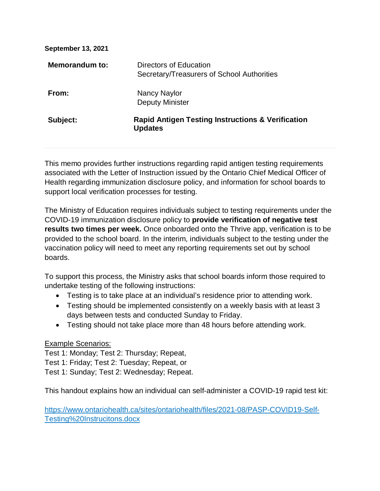**September 13, 2021** 

| <b>Memorandum to:</b> | Directors of Education<br>Secretary/Treasurers of School Authorities           |
|-----------------------|--------------------------------------------------------------------------------|
| From:                 | Nancy Naylor<br><b>Deputy Minister</b>                                         |
| Subject:              | <b>Rapid Antigen Testing Instructions &amp; Verification</b><br><b>Updates</b> |

This memo provides further instructions regarding rapid antigen testing requirements associated with the Letter of Instruction issued by the Ontario Chief Medical Officer of Health regarding immunization disclosure policy, and information for school boards to support local verification processes for testing.

The Ministry of Education requires individuals subject to testing requirements under the COVID-19 immunization disclosure policy to **provide verification of negative test results two times per week.** Once onboarded onto the Thrive app, verification is to be provided to the school board. In the interim, individuals subject to the testing under the vaccination policy will need to meet any reporting requirements set out by school boards.

To support this process, the Ministry asks that school boards inform those required to undertake testing of the following instructions:

- Testing is to take place at an individual's residence prior to attending work.
- Testing should be implemented consistently on a weekly basis with at least 3 days between tests and conducted Sunday to Friday.
- Testing should not take place more than 48 hours before attending work.

### Example Scenarios:

Test 1: Monday; Test 2: Thursday; Repeat, Test 1: Friday; Test 2: Tuesday; Repeat, or

Test 1: Sunday; Test 2: Wednesday; Repeat.

This handout explains how an individual can self-administer a COVID-19 rapid test kit:

[https://www.ontariohealth.ca/sites/ontariohealth/files/2021-08/PASP-COVID19-Self-](https://www.ontariohealth.ca/sites/ontariohealth/files/2021-08/PASP-COVID19-Self-Testing%20Instrucitons.docx)[Testing%20Instrucitons.docx](https://www.ontariohealth.ca/sites/ontariohealth/files/2021-08/PASP-COVID19-Self-Testing%20Instrucitons.docx)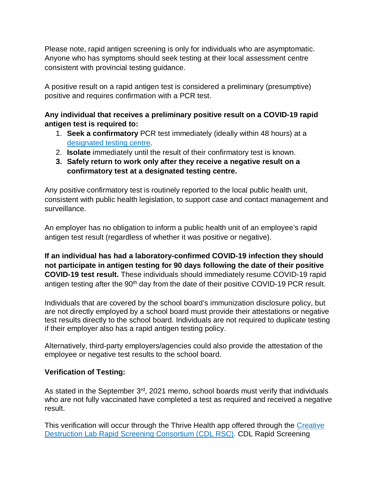Please note, rapid antigen screening is only for individuals who are asymptomatic. Anyone who has symptoms should seek testing at their local assessment centre consistent with provincial testing guidance.

A positive result on a rapid antigen test is considered a preliminary (presumptive) positive and requires confirmation with a PCR test.

# **Any individual that receives a preliminary positive result on a COVID-19 rapid antigen test is required to:**

- 1. **Seek a confirmatory** PCR test immediately (ideally within 48 hours) at a [designated testing centre.](https://covid-19.ontario.ca/assessment-centre-locations/)
- 2. **Isolate** immediately until the result of their confirmatory test is known.
- **3. Safely return to work only after they receive a negative result on a confirmatory test at a designated testing centre.**

Any positive confirmatory test is routinely reported to the local public health unit, consistent with public health legislation, to support case and contact management and surveillance.

An employer has no obligation to inform a public health unit of an employee's rapid antigen test result (regardless of whether it was positive or negative).

**If an individual has had a laboratory-confirmed COVID-19 infection they should not participate in antigen testing for 90 days following the date of their positive COVID-19 test result.** These individuals should immediately resume COVID-19 rapid antigen testing after the 90<sup>th</sup> day from the date of their positive COVID-19 PCR result.

Individuals that are covered by the school board's immunization disclosure policy, but are not directly employed by a school board must provide their attestations or negative test results directly to the school board. Individuals are not required to duplicate testing if their employer also has a rapid antigen testing policy.

Alternatively, third-party employers/agencies could also provide the attestation of the employee or negative test results to the school board.

## **Verification of Testing:**

As stated in the September 3<sup>rd</sup>, 2021 memo, school boards must verify that individuals who are not fully vaccinated have completed a test as required and received a negative result.

This verification will occur through the Thrive Health app offered through the [Creative](https://www.cdlrapidscreeningconsortium.com/)  [Destruction Lab Rapid Screening Consortium \(CDL RSC\).](https://www.cdlrapidscreeningconsortium.com/) CDL Rapid Screening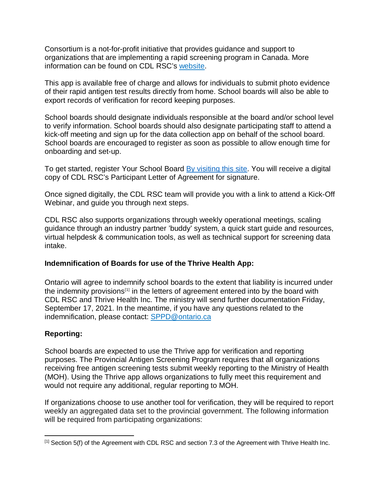Consortium is a not-for-profit initiative that provides guidance and support to organizations that are implementing a rapid screening program in Canada. More information can be found on CDL RSC's [website.](https://can01.safelinks.protection.outlook.com/?url=https%3A%2F%2Fwww.cdlrapidscreeningconsortium.com%2F&data=04%7C01%7Csarah.dunsford%40ontario.ca%7Cc6b9d0aaf2934e00357608d9733c5803%7Ccddc1229ac2a4b97b78a0e5cacb5865c%7C0%7C0%7C637667526026158997%7CUnknown%7CTWFpbGZsb3d8eyJWIjoiMC4wLjAwMDAiLCJQIjoiV2luMzIiLCJBTiI6Ik1haWwiLCJXVCI6Mn0%3D%7C1000&sdata=o2FkeMrq%2F%2BOFwbcRdhDMsleryi2ADK4ICp0BcMR90Jc%3D&reserved=0)

This app is available free of charge and allows for individuals to submit photo evidence of their rapid antigen test results directly from home. School boards will also be able to export records of verification for record keeping purposes.

School boards should designate individuals responsible at the board and/or school level to verify information. School boards should also designate participating staff to attend a kick-off meeting and sign up for the data collection app on behalf of the school board. School boards are encouraged to register as soon as possible to allow enough time for onboarding and set-up.

To get started, register Your School Board [By visiting this site.](https://airtable.com/shr776tg5CzPlgdUF) You will receive a digital copy of CDL RSC's Participant Letter of Agreement for signature.

Once signed digitally, the CDL RSC team will provide you with a link to attend a Kick-Off Webinar, and guide you through next steps.

CDL RSC also supports organizations through weekly operational meetings, scaling guidance through an industry partner 'buddy' system, a quick start guide and resources, virtual helpdesk & communication tools, as well as technical support for screening data intake.

## **Indemnification of Boards for use of the Thrive Health App:**

Ontario will agree to indemnify school boards to the extent that liability is incurred under the indemnity provisions $[1]$  in the letters of agreement entered into by the board with CDL RSC and Thrive Health Inc. The ministry will send further documentation Friday, September 17, 2021. In the meantime, if you have any questions related to the indemnification, please contact: [SPPD@ontario.ca](mailto:SPPD@ontario.ca)

## **Reporting:**

School boards are expected to use the Thrive app for verification and reporting purposes. The Provincial Antigen Screening Program requires that all organizations receiving free antigen screening tests submit weekly reporting to the Ministry of Health (MOH). Using the Thrive app allows organizations to fully meet this requirement and would not require any additional, regular reporting to MOH.

If organizations choose to use another tool for verification, they will be required to report weekly an aggregated data set to the provincial government. The following information will be required from participating organizations:

<span id="page-2-0"></span> $\overline{\phantom{a}}$ [1] Section 5(f) of the Agreement with CDL RSC and section 7.3 of the Agreement with Thrive Health Inc.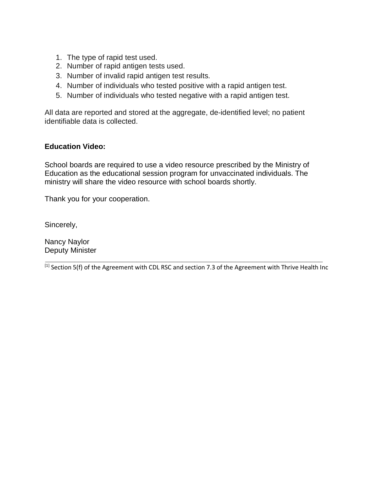- 1. The type of rapid test used.
- 2. Number of rapid antigen tests used.
- 3. Number of invalid rapid antigen test results.
- 4. Number of individuals who tested positive with a rapid antigen test.
- 5. Number of individuals who tested negative with a rapid antigen test.

All data are reported and stored at the aggregate, de-identified level; no patient identifiable data is collected.

### **Education Video:**

School boards are required to use a video resource prescribed by the Ministry of Education as the educational session program for unvaccinated individuals. The ministry will share the video resource with school boards shortly.

Thank you for your cooperation.

Sincerely,

Nancy Naylor Deputy Minister

**\_\_\_\_\_\_\_\_\_\_\_\_\_\_\_\_\_\_\_\_\_\_\_\_\_\_\_\_\_\_\_\_\_\_\_\_\_\_\_\_\_\_\_\_\_\_\_\_\_\_\_\_\_\_\_\_\_\_\_\_\_\_\_\_\_\_\_**  $^{[1]}$  Section 5(f) of the Agreement with CDL RSC and section 7.3 of the Agreement with Thrive Health Inc